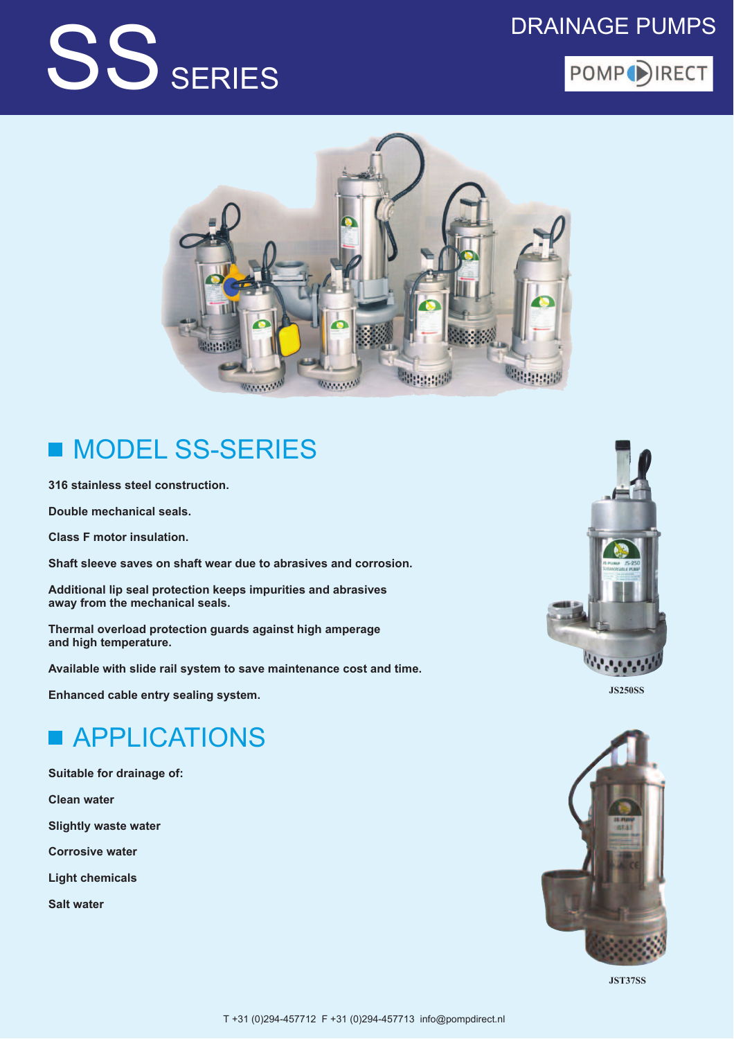## SS SERIES

#### **DRAINAGE PUMPS**





#### **MODEL SS-SERIES** П

316 stainless steel construction.

Double mechanical seals.

**Class F motor insulation.** 

Shaft sleeve saves on shaft wear due to abrasives and corrosion.

Additional lip seal protection keeps impurities and abrasives away from the mechanical seals.

Thermal overload protection guards against high amperage and high temperature.

Available with slide rail system to save maintenance cost and time.

Enhanced cable entry sealing system.

## **APPLICATIONS**

Suitable for drainage of:

**Clean water** 

**Slightly waste water** 

**Corrosive water** 

**Light chemicals** 

**Salt water** 



**JS250SS** 



**JST37SS**